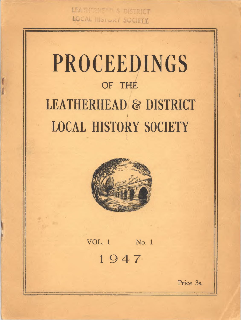LEATHTREEAT & DISTRICT LOCAL HISTORY SOCIETY

# **PROCEEDINGS OF THE LEATHERHEAD** *&* **DISTRICT | LOCAL HISTORY SOCIETY**



**VOL. 1 No. 1** 1947

**Price 3s.**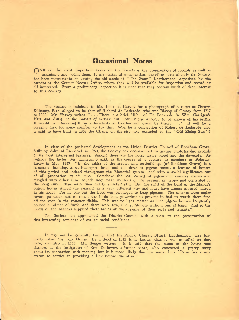## **Occasional Notes**

ONE of the most important tasks of the Society is the preservation of records as well as examining and noting them. It is a matter of gratification, therefore, that already the Society has been instrumental in getting the old deeds of "The Swan," Leatherhead, deposited by the owners at the County Record Office, where they will be available for inspection and record by all interested. From a preliminary inspection it is clear that they contain much of deep interest to this Society.

The Society is indebted to Mr. John H. Harvey for a photograph of a tomb at Ossory, Kilkenny, Eire, alleged to be that of Richard de Lederede, who was Bishop of Ossory from 1317 to 1360. Mr. Harvey writes: " . . . There is a brief ' life ' of De Lederede in Wm. Carrigan's *Hist, and Antiq. of the Diocese of Ossory* but nothing else appears to be known of his origin. It would be interesting if his antecedents at Leatherhead could be traced ..." It will be a pleasing task for some member to try this. Was he a connection of Robert de Lederede who is said to have built in 1358 the Chapel on the site now occupied by the " Old Rising Sun " ?

In view of the projected development by the Urban District Council of Bookham Grove, built by Admiral Broderick in 1750, the Society has endeavoured to secure photographic records of its most interesting features. Among these are the horse water wheel and the dovecote. *As* regards the latter, Mr. Hanscomb said, in the course of a lecture to members at Polesden Lacey in May, 1947: " In the midst of the stables and outbuildings [of Bookham Grove] is a hexagonal building, a well-designed brick and tile dove or pigeon house, a feature of houses of this period and indeed throughout the Manorial system; and with a social significance out of all proportion to its size. Somehow the soft cooing of pigeons in country scenes and mingled with other rural sounds may make us think of the peasant as happy and contented in the long sunny days with time nearly standing still. But the sight of the Lord of the Manor's pigeon house stirred the peasant in a very different way and must have almost aroused hatred in his heart. For no one but the Lord was privileged to keep pigeons. The tenants were under severe penalties not to touch the birds and, powerless to prevent it, had to watch them feed off the corn in the common fields. This was no light matter as such pigeon houses frequently housed hundreds of birds, and there were few, if any, Manors without one at least. And so the Lords of the Manors supplied their tables at the expense of their serfs and tenants.'

The Society has approached the District Council with a view to the preservation of this interesting reminder of earlier social conditions.

It may not be generally known that the Priory, Church Street, Leatherhead, was formerly called the Link House. By a deed of 1815 it is known that it was so-called at that date, and also in 1750. Mr. Benger writes: " It is said that the name of the house was changed at the instigation of Rev. Dallaway, a former vicar, who concocted a pretty story about its connection with monks; but it is more likely that the name Link House has a reference to service in providing a link before the altar."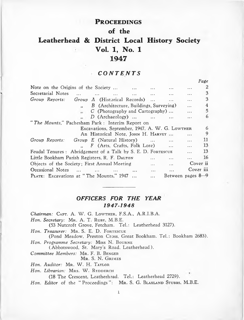## PROCEEDINGS

**of the**

# **Leatherhead & District Local History Society Vol. 1, No. 1 1947**

## *CONTENTS*

*Page*

|                                                                                                 | 1 uge     |
|-------------------------------------------------------------------------------------------------|-----------|
| Note on the Origins of the Society<br>$\cdots$<br>$\cdots$                                      | 2         |
| Secretarial Notes<br>$\sim$ $\sim$<br>$\cdots$<br>$\ddotsc$<br>$\cdots$<br>$\cdots$<br>$\cdots$ | 3         |
| Group Reports:<br>Group A (Historical Records)<br>$\cdots$                                      | 3         |
| B (Architecture, Buildings, Surveying)<br>$\cdots$                                              | 4         |
| $C$ (Photography and Cartography)                                                               | 5         |
| $D$ (Archaeology)<br>$\ddotsc$                                                                  | 6         |
| "The Mounts," Pachesham Park: Interim Report on                                                 |           |
| Excavations, September, 1947, A. W. G. LowTHER                                                  | 6         |
| An Historical Note, JOHN H. HARVEY<br>.                                                         | 9         |
| Group Reports:<br><i>Group E</i> (Natural History)<br>$\cdots$                                  | 11        |
| F (Arts, Crafts, Folk Lore)<br>$\cdots$<br>$\cdots$                                             | 13        |
| Feudal Tenures: Abridgement of a Talk by S. E. D. FORTESCUE<br>$\ddotsc$                        | 13        |
| Little Bookham Parish Registers, R. F. DALTON<br>$\cdots$                                       | 16        |
| Objects of the Society; First Annual Meeting<br>$\cdots$<br>$\cdots$                            | Cover ii  |
| Occasional Notes<br><br>$\cdots$<br>                                                            | Cover iii |
| PLATE: Excavations at "The Mounts," 1947<br>Between pages 8-9<br>$\cdots$                       |           |
|                                                                                                 |           |

## *OFFICERS FOR THE YEAR 1947-1948*

*Chairman: CAPT. A. W. G. LOWTHER, F.S.A., A.R.I.B.A.* Hon. Secretary: MR. A. T. RUBY, M.B.E. (53 Nutcroft Grove, Fetcham. Tel.: Leatherhead 3127). *Hon. Treasurer:* MR. S. E. D. FORTESCUE (Pond Meadow, Preston Cross, Great Bookham. Tel.: Bookham 2683). *Hon. Programme Secretary: Miss N. BOURNE* (Abbotswood, St. Mary's Road, Leatherhead). *Committee Members: MR. F. B. BENGER* MR. S. N. GRIMES Hon. Auditor: MR. W. H. TAYLOR Hon. Librarian: MRS. W. RYDDERCH (18 The Crescent, Leatherhead. Tel.: Leatherhead 2729). *Hon. Editor* of the "Proceedings": MR. S. G. BLAXLAND STUBBS, M.B.E.

1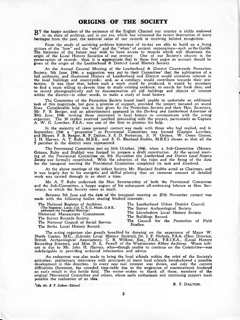TJY the happy accident of the existence of the English Channel our country is richly endowed in its store of archives, and in our era, which has witnessed the recent destruction of many heritages from the past, the national value of our records is receiving belated recognition.

From the study of surviving archives historians of to-day are able to build up a living picture of the "how" and the "why" and the " when" of ancient corporations—such as the Guilds. The historian of the future may wish to have access to records which will illuminate the origin of the Local History Societies of our century. One of our Society's objects is the<br>preservation of records: thus, it is appropriate that in these first pages an account should be<br>given of the origin of the Leatherhe

A t the Annual General Meeting of the Leatherhead & District Countryside Protection Society, 5th June, 1946, a suggestion was put to their Committee1 that the publication of a full authentic, and illustrated History of Leatherhead and District would stimulate interest in the local buildings and countryside; and, as a corollary, would contribute towards their protection. It was clear that, before such a work could be produced, it would be necessary to find a team willing to.devote time to study existing evidence, to search for fresh data, and to record photographically and by documentation all old buildings and objects of interest within the district—in other words, to make a study of local history.

The Committee of the Protection Society found itself unable to undertake an additional task of this magnitude, but gave a promise of support, provided the project matured on sound lines. Considerable help was in fact given by the Protection Society and their Hon. Secretary, Mr. F. B. Benger, and an advertisement appeared in the *Dorking and Leatherhead Advertiser* of 30th June, 1946 inviting those interested in local history to communicate with the acting<br>organizer. The 30 replies received justified proceeding with the project, particularly as Captain<br>A. W. G. Lowther, F.S.A., was one

In the majority of cases personal contact was made with those who had replied, and in September, 1946 a "generative" or Provisional Committee was formed (Captain Lowther,<br>and Messrs. F. B. Benger, R. F. Dalton, S. E. D. Fortescue, S. N. Grimes, W. Owen Groom,<br>J. H. Harvey, A. T. Ruby, M.B.E., and S. G. Blax 5 parishes in the district were represented.

The Provisional Committee met on 16th October, 1946. when a Sub-Committee (Messrs. Grimes, Ruby and Stubbs) was formed to prepare a draft constitution. At the second meet-ing of the Provisional Committee on 5th November the *Leatherhead and District Local History* **Society** was formally constituted. With the adoption of the rules and the fixing of the date for the inaugural meeting the Provisional Committee completed its task and dissolved.

At the above meetings of the infant Society Mr. Blaxland Stubbs acted as Chairman, and it was largely due to his energetic and skilful piloting that an immense amount of detailed work was carried through in so short a time.

Mr. A. T. Ruby undertook the Hon. Secretaryship of both the Provisional Committee and the Sub-Committee, a happy augury of his subsequent all-embracing labours as Hon. Secretary, to which the Society owes so much.

Between 5th June and the date of the inaugural meeting on 27th November contact was made with the following bodies sharing kindred interests:

| The National Register of Archives.                                                    | The Leatherhead Urban District Council.                                                                                                                                        |  |  |
|---------------------------------------------------------------------------------------|--------------------------------------------------------------------------------------------------------------------------------------------------------------------------------|--|--|
| (The Registrar, Lieut.-Col. C. E. G. Malet, O.B.E., addressed the Inaugural Meeting.) | The Surrey Archaeological Society.                                                                                                                                             |  |  |
| Historical Manuscripts Commission.                                                    | The Lincolnshire Local History Society.                                                                                                                                        |  |  |
| The Surrey Records Society.                                                           | The Buildings Record.                                                                                                                                                          |  |  |
| The National Council of Social Service.                                               | The Council for the Promotion of Field                                                                                                                                         |  |  |
| The Berks. Local History Record.                                                      | Studies.                                                                                                                                                                       |  |  |
|                                                                                       | The acting organizer also greatly benefited by drawing on the experience of Major W.<br>North Coates, M.C. (Lincoln Local History Society) Dr. J. E. Nichols ESA (Hop Director |  |  |

North Coates, M.C., (Lincoln Local History Society), Dr. J. F. Nichols, F.S.A. (Hon. Director,<br>British Archaeological Association), C. B. Willcox, Esq., F.S.A., F.R.I.B.A., (Local History<br>Recording Scheme), and Miss D. L. ute is due to Mr. John H. Harvey, who—though unable to continue on the Committee—was indefatigable in providing technical information and advice.

An endeavour was also made to bring the local schools within the orbit of the Society's activities; preliminary interviews with principals of many local schools foreshadowed a possible development in this direction. In every case real interest was shown, and only the current difficulties (foremost, the crowded time-table due to the exigencies of examinations) hindered an early result in this fertile field. The writer wishes to thank all those, members of the original Provisional Committee and others, whose early enthusiasm and continuing support made possible the realisation of an idea.

<sup>1</sup>[By Mr. R. F. Dalton-Editor] R. F. DALTON.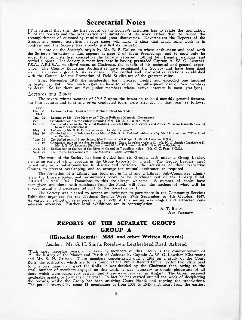TT is natural that this, the first record of the Society's activities has to relate the foundation of the Society and the organization and initiation of its work rather than to record the accomplishment of outstanding results and great discoveries. Nevertheless the Reports of the Groups and general activities in later pages will make it clear that much solid work is in progress and the Society has already justified its formation.

A note on the Society's origin by Mr. R. F. Dalton, to whose enthusiasm and hard work the Society's formation is due, appears in page 2 of these Proceedings, and it need only be added that from its first conception the Society received nothing but friendly welcome and cordial support. The Society is most fortunate in having persuaded Captain A. W . G. Lowther, F.S.A., A.R.I.B.A., to afford them, as Chairman, the benefit of his technical and general experience. The County Education Authorities have recognized the Society and have been good enough to make a grant to its expenses. The cordial and co-operative relations established with the Council for the Promotion of Field Studies are of the greatest value.

Since November 1946, the membership has increased weekly and exceeded one hundred<br>by September 1947. We much regret to have to report the subsequent loss of two members by death. So far there are five junior members whose active interest is most gratifying.

#### *Lectures and Tours.*

The severe winter weather of 1946-7 upset the intention to hold monthly general fixtures, but four lectures and talks and seven conductcd tours were arranged in that year as follows:

1946<br>Dec. 20 Lecture by Capt. Lowther on " Archaeological Methods."

 $1947$ <br>Jan. 21<br>Feb.  $1$ Lecture by Mr. John Harvey on " Court Rolls and Manorial Documents."

- 
- Feb. 1 Conducted visit to the Public Records Office (Mr. R. F. Dalton, M. A.).<br>Feb. 15 Conducted visit to the National Building Records Office and Victoria an Feb. 15 Condudted visit to the National Building Records Office and Victoria and Albert Museum (cancelled owing to weather conditions).
- 
- May 9 Lecture by Mr. S. E. D. Fortescue on "Feudal Tenures."<br>May 30 Conducted tour of Polesden Lacey Manor! (Mr. R. R. Fed Conducted tour of Polesden Lacey Manor!(Mr. R. R. Fedden) with a talk by Mr. Hanscomb on "The Road to Bookham.
- June 21 Conducted tour of Stane Street, (the Roman Road) (Capt. A. W. G. Lowther, F.S.A.).<br>July 19 Conducted tour of the five Parish Churches: Capt. Lowther (Ashtead). Mr. H. G.
- July 19 Conducted tour of the five Parish Churches: Capt. Lowther (Ashtead). Mr. H. G. Smith (Leatherhead).<br>Aug. 23 Exploration of the bed of the River Mole and Mr. C. E. Hanscomb F.R.I.B.A. (The Bookhams).<br>Aug. 23 Explora

The work of the Society has been divided into six Groups, each under a Group Leader, a note on each of which appears in the Group Reports (v. infra). The Group Leaders meet periodically as a Sub-Committee to discuss and correlate the activities of their respective Groups, to prevent overlapping, and to arrange for mutual assistance as required.

The formation of a Library has been put in hand and a Library Sub-Committee administers the Library Rules, and recommends books to be purchased out of the Library Fund, initiated in April 1947. Donations to this are always welcome. A number of books have been given, and these, with purchases from the Fund, will form the nucleus of what will be a very useful and necessary adjunct to the Society's work.

The Society was pleased to accept an invitation to participate in the Community Services Exhibition organized for the National Savings Week, 27th September to 4th October, 1M7. As varied an exhibition as is possible by a body of this nature was staged and attracted considerable attention. Further local exhibitions are in contemplation.

> A. T. RUBY, *Hon. Secretary.*

## **REPORTS OF THE SEPARATE GROUPS** *GROUP* A

#### **(Historical Records: MSS. and other Written Records)**

#### *Leader:* Mr. G. H. Smith, Roselawn, Leatherhead Road, Ashtead

THE most important work undertaken by members of this Group is the commencement of<br>the history of the Manor and Parish of Ashtead by Captain A. W. G. Lowther (Chairman)<br>and Mr. S. N. Grimes. These members concentrated duri Rolls, the earliest of which are to be found at the Public Record Office. After two visits paid to Chancery Lane to inspect the Rolls, it was decided by the Chairman that, owing to the small number of members engaged on this work, it was necessary to obtain photostats of all those which were reasonably legible, and these were received in August. The Group received invaluable assistance from the Chairman. In fact he has carried out all the work of deciphering the records, whilst the Group has been studying Court Hand, and copying the translations. The period covered by some 13 membranes is from 1387 to 1546, and, apart from the earliest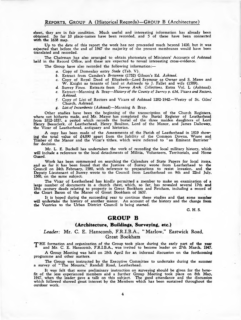sheet, they are in fair condition. Much useful and interesting information has already been obtained. So far 10 place-names have been recorded, and 5 of these have been connected **with the** 1638 map.

Up to the date of this report the work has not proceeded much beyond 1410, but it was expected that before the end of 1947 the majority of the present membranes would have been translated and recorded.

The Chairman has also arranged to obtain photostats of Ministers' Accounts of Ashtead held in the Record Office, and these are expected to reveal interesting cross-evidence.

The Group have also recorded the following information:—

- *a.* Copy of Domesday entry *Stede* (Tab. V ).
- *b.* Extract from Camden's *Britannia* (1752) Gibson's Ed. *Ashtead.*
- *c.* Copy of Royal Deed of Elizabeth—Lord Seymour as Owner and S. Mawe and W. Knight as tenants of land at Ashteede to J. Fallet and wife (1589).
- *d.* Surrey Fines. Extracts from *Surrey Arch. Collections,* Extra Vol. L (Ashtead).
- *e.* Extract—Manning & Bray*—History of the County of Surrey p. 634, Vicars and Rectors, Ashtead.*
- *f.* Copy of List of Rectors and Vicars of Ashtead 1282-1942.—Vestry of St. Giles' Church, Ashtead.
- *g. List of Incumbents* (*Ashtead*) —Manning & Bray.

Other studies have been the beginning of the transcription of the Church Registers, where not hitherto made, and Mr. Mayer has completed the Burial Register of Leatherhead from 1812-1837, a period which records the burial of the three maiden daughters of Lord Henry Beauclerk, of Leatherhead, Henry Boulton, Lord of the Manor, and James Dalloway, the Vicar of Leatherhead, antiquary and historian.

A copy has been made of the Assessments of the Parish of Leatherhead in 1819 show-<br>ing the total value of £4,890 apart from the liability of the Common Downs, Waste and Timber of the Manor and the Vicar's tithes, which were referred to " an Eminent Barrister" for decision.

Mr. L. E. Buckell has undertaken the work of recording the local military history, which will include a reference to the local detachments of Militia, Volunteers, Territorials, and Home Guard.

Work has been commenced on searching the Calendars of State Papers for local items, and so far it has been found that the Justices of Surrey wrote from Leatherhead to the Council on 24th February, 1580, with reference to preparations to resist invasion, and the Deputy Lieutenant of Surrey wrote to the Council from Leatherhead on 9th and 22nd July, 1588, on the same subject.

The Vicar of Leatherhead has kindly permitted a member to make an examination of a large number of documents in a church chest, which, so far, has revealed several 17th and 18th century deeds relating to property in Great Bookham and Fetcham, including a record of the Court Baron of the Manor of Great Bookham of 1637.

It is hoped during the succeeding year to continue these studies and that some **member** will undertake the history of another manor. An account of the history and the change from the Vestries to the Urban District Council is being started.

G. H. S.

#### GROUP B

#### **(Architecture, Buildings, Surveying, etc.)**

#### <span id="page-5-0"></span>*Leader:* Mr. C. E. Hanscomb, F.R.I.B.A., " Marlow," Eastwick Road, Great Bookham

THE formation and organization of the Group took place during the early part of the year<br>and Mr. C. E. Hanscomb, F.R.I.B.A., was invited to become leader on 27th March, 1947.

A Group Meeting was held on 18th April for an informal discussion on the forthcoming programme and other matters.

The Group was instructed by the Executive Committee to undertake during the summer a survey of " The Mounts," Randall Road, Leatherhead.

It was felt that some preliminary instruction on surveying should be given for the benefit of the less experienced members and a further Group Meeting took place on 8th May,<br>1947, when the leader gave a talk on this subject. The good attendance and the discussion which followed showed great interest by the Members which has been sustained throughout the outdoor work.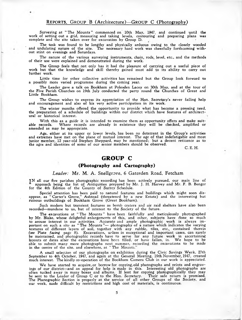Surveying at " The Mounts " commenced on 10th May, 1947. and continued until the work of setting out a grid, measuring and taking levels, contouring and preparing plans was complete and the site taken over for excavation by Group D.

The task was found to be lengthy and physically arduous owing to the closely wooded and undulating nature of the site. The necessary hard work was cheerfully forthcoming without stint on evenings and Saturdays.

The nature of the various surveying instruments, chain, rods, level, etc., and the methods of their use were explained and demonstrated during the work.

The Group feels that not only has it had the pleasure of carrying out a useful piece of work but that the knowledge and skill thereby gained must add to its ability to carry out further work.

Little time for other collective activities has remained but the Group look forward to a possibly more varied programme during the coming year.

The Leader gave a talk on Bookham at Polesden Lacey on 30th May, and at the tour of the Five Parish Churches on 19th July conducted the party round the Churches of Great and Little Bookham.

The Group wishes to express its appreciation of the Hon. Secretary's never failing help and encouragement and also of his very active participation in its work.

The winter months offered the opportunity to provide what has become a pressing need, the preparation of a schedule of buildings within our district which have features of architectural or historical interest.

With this as a guide it is intended to examine them as opportunity offers and make suitable records. Where records are already in existence they will be checked, amplified or amended as may be appropriate.

Age, either at its upper or lower levels, has been no deterrent in the Group's activities<br>and extremes have met on the plane of mutual interest. The age of that indefatigable and most<br>junior member, 12 year-old Stephen She the ages and identities of some of our senior members should be observed.

C. E. H.

### GROUP C

#### **(Photography and Cartography)**

*Leader:* Mr. M. A. Snellgrove, 6 Gatesden Road, Fetcham

<span id="page-6-0"></span>TN all our five parishes photographic recording has been actively pursued, our main line of approach being the list of Antiquities prepared by Mr. J. H. Harvey and Mr. F. B. Benger for the 4th Edition of the County of Surrey Schedule.

Special attention has been paid to natural features and buildings which might soon disappear, as " Carter's Grove," Ashtead (threatened by a new Estate) and the interesting but ruinous outbuildings of Bookham Grove (Great Bookham).

Such modem but transient features as bomb craters and air raid shelters have also been recorded—mundane to us, but of interest to the Society of the future.

The excavations at " The Mounts " have been faithfully and meticulously photographed by Mr. Blake, whose delightful enlargements of this, and other, subjects have done so much to arouse interest in our activities. Accurate and ample photographic work is always im-portant on such a site as " The Mounts "— photography of a nature which indicates the varying textures of different layers of soil, together with any rubble, tiles, etc., contained therein *(see* Plate *facing* page 8). Excavations, unless in exceptional and important cases, can rarely be maintained, and photographic records have to serve for any future work in ascertaining<br>layouts or dates after the excavations have been filled, or have fallen, in. We hope to be able to submit many more photographs next summer, recording the excavations to be made in the centre of the site, and elsewhere, at " The Mounts."

A small selection of our photographs on exhibition during the Civic Savings Week, 27th September to 4th October, 1947, and again at the General Meeting, 19th November, 1947, created much interest. The kindly co-operation of the Bookham Camera Club in our work is appreciated.

We have started to acquire, or borrow for copying, old photographs and prints and engravings of our district—and an appeal for help is made in this. Interesting old photographs are often tucked away in many boxes and albums. If lent for copying photographically they may be sent to the Leader of Group C or to the Hon. Secretary. Their safe return is promised. The Photographic Section is properly at the service of all other Groups of the Society, and our work, made difficult by restrictions and high cost of materials, is continuous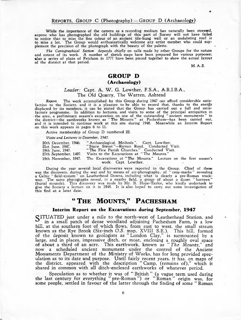#### REPORTS, GROUP C (Photography) - GROUP D (Archaeology)

While the importance of the camera as a recording medium has naturally been stressed, anyone who has photographed the old buildings of this part of Surrey will not have failed to notice that to miss the fine colour of an ancient tile-hung wall or an undulating roof is to miss a lot. The Group would enthusiastically welcome any artist member who could supplement the precision of the photograph with the beauty of the palette.

*The Cartographical Section* depends chiefly on calls made by other Groups for the nature and extent of its work. A number of sketch maps have been prepared for various purposes; also a series of plans of Fetcham in 1777 have been pieced together to show the actual layout of the district at that period.

M. A. S.

## GROUP D **(Archaeology)**

# Leader: Capt. A. W. G. Lowther, F.S.A., A.R.I.B.A.,

#### The Old Quarry, The Warren, Ashtead

*Report.* The work accomplished by this Group during 1947 can afford considerable satisfaction to the Society, and it is a pleasure to be able to record that, thanks to the energy displayed by its members, it can be stated that the Group has carried out a full and satisfactory programme. In addition to lectures, and visits to some of the principal antiquities in the area, a preliminary season's excavation on one of the outstanding " ancient monuments " in the district—the earthworks known as " The Mounts " at Pachesham—has been carried out, and it is intended to continue work at this site during 1948. Meanwhile an Interim Report on this work appears in pages 6 to 11.

Active membership of Group D numbered 22.

*Visits and Lectures to December, 1947.*

| 20th December, 1946.  | "Archaeological Methods". Capt. Lowther.                                            |
|-----------------------|-------------------------------------------------------------------------------------|
| 21st June, 1947.      | "Stane Street"-Roman Road. Conducted Visit.                                         |
| 19th June, 1947.      | "The Five Parish Churches." Conducted Visit.                                        |
| 27th September, 1497. | Visits to the Excavations at "The Mounts."                                          |
|                       | 19th November, 1947. The Excavations at "The Mounts." Lecture on the first season's |

work. Capt. Lowther.

During the year several local discoveries were reported to the Group. Chief of these was the discovery, during the war and by means of air-photography, of " crop-marks " revealing a Celtic "field-system" on Leatherhead Downs, including what is clearly a pre-Roman trackway. The same photographs reveal, in a nearby field, a group of about a dozen "barrows"<br>(burial mounds). This discovery was made by Mr. B. Hope-Taylor, who kindly undertook to<br>give the Society a lecture on it in 1943. It i this find at a later date.

# " THE MOUNTS," PACHESHAM

#### **Interim Report on the Excavations during September, 1947**

SITUATED just under a mile to the north-west of Leatherhead Station, and in a small patch of dense woodland adjoining Pachesham Farm, is a low hill, at the southern foot of which flows, from east to west, the small stream known as the Rye Brook (Six-inch *O.S.* map, XVIII S.E.). This hill, formed of the deposit known to geologists as " London Clay," is surmounted by a large, and in places, impressive ditch, or moat, enclosing a roughly oval space of about a third of an acre. This earthwork, known as " *The Mounts,"* and now a scheduled ancient monument under the control of the Ancient Monuments Department of the Ministry of Works, has for long provided speculation as to its date and purpose. Until fairly recent years, it has, on maps of the district, appeared with the description " Camp, (remains of)," which it shared in common with all ditch-enclosed earthworks of whatever period.

Speculation as to whether it was of " British " (a vague term used during the last century for everything " pre-Roman ") or " Roman " origin was, for some people, settled in favour of the latter through the finding of some " Roman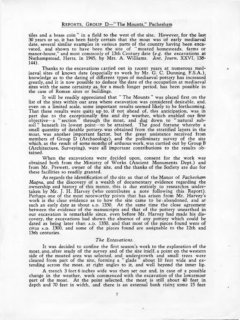tiles and a brass coin " in a field to the west of the site. However, for the last 30 years or so, it has been fairly certain that the moat was of early mediaeval date, several similar examples in various parts of the country having been excavated, and shown to have been the site of " moated homesteads, farms or manor-house," and most commonly of 13th Century date (e.g. the excavations at Nuthampstead, Herts, in 1945, by Mrs. A. Williams. *Ant. Journ.* XXVI, 138- 144).

Thanks to the excavations carried out in recent years at numerous mediaeval sites of known date (especially to work by Mr. G. C. Dunning, F.S.A.), knowledge as to the dating of different types of mediaeval pottery has increased greatly, and it is now possible to deduce the date of the occupation at mediaeval sites with the same certainty as, for a much longer period, has been possible in the case of Roman sites or buildings.

It will be readily appreciated that " The Mounts " was placed first on the list of the sites within our area where excavation was considered desirable, and, even on a limited scale, some important results seemed likely to be forthcoming. That these results were quite up to, if not ahead of, this anticipation, was in part due to the exceptionally fine and dry weather, which enabled our first objective—a " section" through the moat, and dug down to " natural subsoil " beneath its lowest point—to be attained. The good fortune whereby a small quantity of datable pottery, was obtained from the stratified layers in the moat, was another important factor, but the great assistance received from members of Group D (Archaeology), and the preliminary survey of the site which, as the result of some months of arduous work, was carried out by Group B (Architecture, Surveying), were all important contributions to the results obtained.

When the excavations were decided upon, consent for the work was obtained both from the Ministry of Works (Ancient Monuments Dept.) and from Mr. Prewett, owner of the site, and the thanks of the Society are due for these facilities so readily granted.

As regards the identification of the site as that of the Manor of *Pachesham Magna,* and the discovery of a wealth of documentary evidence regarding the ownership and history of this manor, this is due entirely to researches undertaken by Mr. J. H. Harvey (who contributes a note following this Report). Perhaps one of the most noteworthy points that has arisen from Mr. Harvey's work is the clear evidence as to how the site came to be • abandoned, and at such an early date as about **A.D. 1350.** At the same time the close agreement between the evidence of the manuscripts and that of the pottery unearthed in our excavation is remarkable since, even before Mr. Harvey had made, his discovery, the excavations had shown the absence of any pottery which could be dated as being later than A.D. 1350, and that most of the pieces found were of *circa* A.D. 1300, and some of the pieces found are assignable to the 12th and 13th centuries.

#### *The Excavations.*

It was decided to confine the first season's work to the exploration of the moat, ana, after study of the survey and of the site itself, a point on the western side of the moated area was selected, and undergrowth and small trees were cleared from part of the site, forming a " glade " about 10 feet wide and extending across the moat, at right angles to it, and well beyond the inner lip.

A trench 3 feet 6 inches wide was then set out and, in case of a possible change in the weather, work commenced with the excavation of the lowermost part of the moat. At the point selected, the moat is still about 40 feet in depth and 70 feet in width, and there is an external bank rising some 15 feet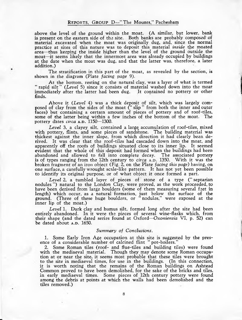above the level of the ground within the moat. (A similar, but lower, bank is present on the eastern side of the site. Both banks are probably composed of material excavated when the moat was originally dug, and, since the normal practice at sites of this nature was to deposit this material *inside* the moated area—thus keeping the inside higher than the level of the ground outside the moat—it seems likely that the innermost area was already occupied by buildings at the date when the moat was dug, and that the latter was, therefore, a later addition.)

The stratification in this part of the moat, as revealed by the section, is shown in the diagram (Plate *facing page* 9).

At the bottom, resting on the natural clay, was a layer of what is termed " rapid silt " *(Level* 5) since it consists of material washed down into the moat immediately after the latter had been dug. It contained no pottery or other finds.

Above it *(Level* 4) was a thick deposit of silt, which was largely composed of clay from the sides of the moat (" slip " from both the inner and outer faces) but containing a certain amount of pieces of pottery and of roof-tiles, some of the latter being within a few inches of the bottom of the moat. The pottery dates *circa* **a.**b. 1150—1300.

*Level* 3, a clayey silt, contained a large accumulation of roof-tiles, mixed with pottery, flints, and some pieces of sandstone. The building material was thickest against the inner slope, from which direction it had clearly been derived. It was clear that the roof-tiles had cascaded down into the moat, and apparently off the roofs of buildings situated close to its inner lip. It seemed evident that the whole of this deposit had formed when the buildings had been abandoned and allowed to fall into complete decay. The associated pottery is of types ranging from the 12th century to *circa* A.D. 1350. With it was the broken fragment of an iron object (Fig. 2, on the Plate *facing this page*) having, on one surface, a carefully wrought scale-like pattern. It has not yet been possible to identify its original purpose, or of what object it once formed a part.

*Level* 2, a tumbled layer of pieces of stone of a type (" septarian nodules ") natural to the London Clay, were proved, as the work proceeded, to have been derived from large boulders (some of them measuring several feet in length) which occur, as a natural formation, just below the surface of the ground. (Three of these huge boulders, or " nodules," were exposed at the inner lip of the moat.)

*Level* 1. Dark clay and humus silt, formed long after the site had been entirely abandoned. In it were the pieces of several wine-flasks which, from their shape (and the dated series found at Oxford*—Oxoniensia* VI, p. 52) can be dated about A.D. 1650.

#### *Summary of Conclusions.*

1. Some Early Iron Age occupation at this site is suggested by the presence of a considerable number of calcined flint "pot-boilers."

2. Some Roman tiles (roof- and flue-tiles and building tiles) were found with the mediaeval material. Though they may denote some Roman occupation at or near the site, it seems most probable that these tiles were brought to the site in mediaeval times, for use in the buildings. (In this connection, it is worth noting that the remains of the Roman buildings on Ashtead Common proved to have been demolished, for the sake of the bricks and tiles, in early mediaeval times. Some pieces of 12th century pottery were found among the debris at points at which the walls had been demolished and the tiles removed.)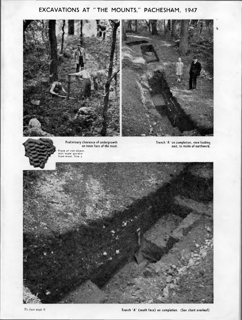# **EXCAVATIONS AT " THE MOUNTS," PACHESHAM, 1947**

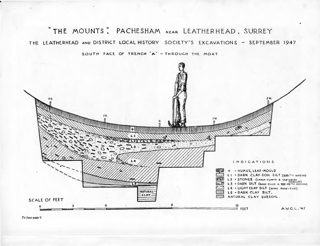\* THE MOUNTS; PACHESHAM NEAR LEATHERHEAD, SURREY THE LEATHERHEAD AND DISTRICT LOCAL HISTORY SOCIETY'S EXCAVATIONS - SEPTEMBER 1947

SOUTH FACE OF TRENCH 'A' - THROUGH THE MOAT



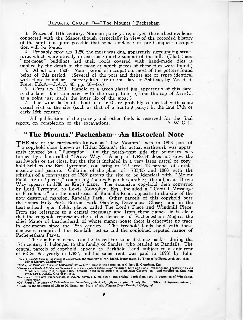#### REPORTS, GROUP D-"The Mounts," Pachesham

3. Pieces of 11th century, Norman pottery are, as yet, the earliest evidence connected with the Manor, though (especially in view of the recorded history of the site) it is quite possible that some evidence of • pre-Conquest occupation will be found.

4. Probably *circa* A.D. 1250 the moat was dug, apparently surrounding structures which were already in existence on the summit of the hill. (That these " pre-moat " buildings had their roofs covered with hand-made tiles is implied by the depth in the moat at which pieces of these tiles were found.)

5. About A.D. 1300. Main period of occupation, most of the pottery found being of this period. (Several of the pots and dishes are of types identical with those found at a pottery-kiln site of this date at Ashtead, by Mr. S. S. Frere, F.S.A.—*S.A.C.* 48, pp. 58—66.)

6. *Circa* A.D. 1350. Handle of a green-glazed jug, apparently of this date, is the latest find connected with the occupation. (From the top of *Level* 3, at a point just inside the inner lip of the moat.)

7. The wine-flasks of about  $A.D. 1650$  are probably connected with some casual visit to the site (such as that of a hunting party) in the late 17th or early 18th century.

Full publication of the pottery and other finds is reserved for the final<br>concompletion of the excavations. report, on completion of the excavations.

## **" The Mounts," Pachesham—An Historical Note**

THE site of the earthworks known as "The Mounts" was in 1808 part of a copyhold close known as Hither Mount<sup>1</sup>; the actual earthwork was apparently covered by a " Plantation." On the north-west side the boundary was formed by a lane called " Drove W ay." A map of 1782/832 does not show the earthworks or the close, but the site is included in a very large parcel of copyhold held by the Earl Tyrconnel, consisting of 152 acres 12 perches of arable, meadow and pasture. Collation of the plans of 1782/83 and 1808 with the schedule of a conveyance of 1788<sup>3</sup> proves the site to be identical with "Mount Field late in 2 pieces," comprising 7 acres 8 perches arable; the adjacent Drove-Way appears in 1788 as King's Lane. The extensive copyhold then conveyed by Lord Tyrconnel to Lewis Montolieu, Esq., included a " Capital Messuage or Farmhouse " on the north-east of Randalls Road, opposite to the site of the now destroyed mansion, Randalls Park. Other parcels of this copyhold bore the names Hilly Park, Bottom Park, Gardens, Dovehouse Close; and in the Leatherhead open fields, places called The Lord's Piece and Windmill Piece. From the reference to a capital messuage and from these names, it is clear that the copyhold represents the earlier demesne of Pachenesham Magna, the chief Manor of Leatherhead, of whose manor-house there is otherwise no trace in documents since the 15th century. The freehold lands held with these demesnes comprised the Randalls estate and the conjoined reputed manor of Pachenesham Parva.

The combined estate can be traced for some distance back<sup> $\cdot$ </sup>; during the 17th century it belonged to the family of Sandes, who resided at Randalls. The central parcels of copyhold appear as Parkfield Land, subject to a quit-rent of  $£2$  2s. 8d. yearly in 1783<sup>5</sup>, and the same rent was paid in 1693<sup>6</sup> by John

*xPlan of Randall Farm in the Parish of Leatherhead,* the property of Mr. Richd. Ironmonger, by Thomas Williams, Architect, 1808.— Minet Library, Camberwell.

*\*Map of the Parish and Manor of Leatherhead,* by G. Gwilt, now in the possession of Gilbert H. Grantham, Esq.

Compeyance of Freehold Estates and Covenant to surrender Copyhold Estates called Randalls: Lord and Lady Tyrconnel and Trustees to Lewis<br>Montolieu, Esq., 17th August, 1788.— Original deed in possession of Wimbledon Corpora

4See descent of Parva Pachenesham in *V.C.H*., *Surrey,* III, pp. 296-7, and original deeds from 1700 in possession of Wimbledon Corporation.

5*Qjiit Rental of the Manor of Pachenesham and Leatherhead,* 30th April, 1783.—Kingston County Record Office, S.C.6/(un-numbered). •Rental in the possession of Gilbert H. Grantham, Esq. ; cf. also *Kingston County Records,* S.C.6/27, 28.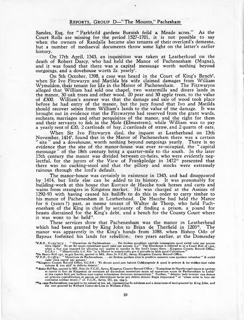Sandes, Esq. for " Parkfeild gardens Burnish feild & Meade acres." As the Court Rolls are missing for the period 1527-1701, it is not possible to say when the owners of Randalls became also tenants of their overlord's demesne, but a number of mediaeval documents throw some light on the latter's earlier history.

On 17th April, 1343, an inquisition was taken at Leatherhead on the death of Robert Darcy, who had held the Manor of Pachenesham (Magna), and it was found that there was a capital messuage worth nothing beyond outgoings, and a dovehouse worth 2s. yearly<sup>7</sup>.

On 5th October, 1398, a case was heard in the Court of King's Bench<sup>8</sup>, when Sir Ivo Fitzwaryn and Matilda his wife claimed damages from William Wymeldon, their tenant for life in the Manor of Pachenesham. The Fitzwaryns alleged that William had sold one chapel, two watermills and divers lands in the manor, 30 oak trees and other wood, 20 pear and 30 apple trees, to the value of £300. William's answer was that the damage and sale of wood took place before he had entry of the manor, but the jury found that Ivo and Matilda should recover seisin from William's lands to the value of the damage. It was brought out in evidence that the Fitzwaryns had reserved from the grant wards, escheats, marriages and other perquisites of the manor, and the right for them and their servants to fish in the Mole (Elmestrem), while William was to pay a yearly rent of  $\text{\pounds}20$ , 2 cartloads of hay, 2 cartloads of straw, and 2 quarts of oats.

When Sir Ivo Fitzwaryn died, the inquest at Leatherhead on 13th November, 1414<sup>°</sup>, found that in the Manor of Pachenesham there was a certain " site " and a dovehouse, worth nothing beyond outgoings yearly. There is no evidence that the site of the manor-house was ever re-occupied, the " capital messuage " of the 18th century being a quarter-mile to the south. In the later 15th century the manor was divided between co-heirs, who were evidently neglectful, for the jurors of the View of Frankpledge in 1472<sup>10</sup> presented that there was no cucking-stool and that the pillory and stocks were extremely ruinous through the lord's default.

The manor-house was certainly in existence in 1343, and had disappeared by 1414, but little else can be added to its history. It was presumably for building-work at this house that Eustace de Hacche took horses and carts and wains from strangers in Kingston market. He was charged at the Assizes of 1292-93 with having caused his bailiffs to do this in order to carry timber to his manor of Pachenesham in Leatherhead. De Hacche had held the Manor for 6 (years ?) past, as mesne tenant of Walter de Thorp, who held Pachenesham of the King in chief by serjeanty of finding a prison, a pound for beasts distrained for the King's debt, and a bench for the County Court where it was wont to be held $<sup>11</sup>$ .</sup>

These services show that Pachenesham was the manor in Leatherhead which had been granted by King John to Brian de Therfield in 1203<sup>12</sup>. The manor was apparently in the King's hands from 1088, when Bishop Odo of Bayeux forfeited his lands for rebellion; two years earlier, at the Domesday

**P.R.O., C.**135/70(3): "Manerium de Pachenesham . . . Est ibidem quoddam capitale mesuagium quod nichil valet per annum vitra repris<sup>3</sup>. Et est ibi vuum columbare quod valet per annum . i<sub>js</sub>." The Dovchouse is referred t

valet vltra repris' per annum.' 10Kingston County Record Office, S.C.6/6 : 'Et dicunt quod .non habent Cukkyngstole & quod le pelerye & lez stokkys sunt valde ruinose & non abil' in defectu domini.'

<sup>&</sup>lt;sup>11</sup>Assize Roll 892, quoted in MS. Notes for V.C.H., Surrey, Kingston County Record Office: 'Eustachius de Hacche cepit equos et caretass et carrets on foro de Kingston de extraneis ad ducreatum arememium and marginum sur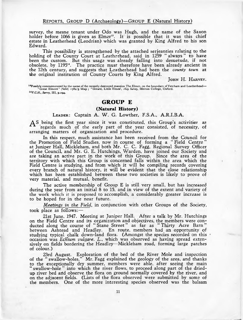#### REPORTS, GROUP D (Archaeology)-GROUP E (Natural History)

survey, the mesne tenant under Odo was Hugh, and the name of the Saxon holder before 1066 is given as Elmer<sup>13</sup>. It is possible that it was this chief estate in Leatherhead (Leodrian) which was granted by King Alfred to his son Edward.

This possibility is strengthened by the attached serjeanties relating to the holding of the County Court at Leatherhead, said in 1259 " always" to have been the custom. But this usage was already falling into desuetude, if not obsolete, by 119514. The practice must therefore have been already ancient in the 12th century, and suggests that Leatherhead had been the *county town* at the original institution of County Courts by King Alfred.

JOHN H. HARVEY.

IPossibly commemorated by the name of the recently destroyed mansion The Elmer, on the boundary of Fetcham and Leatherhead—<br>Great Elmore ' (field) 1782/3 Map ; ' Greate, Little Elmes', 1629 Survey, Merton College, Oxford. <sup>14</sup>V.C.H., Surrey, III, p.294.

## GROUP E

#### **(Natural History)**

#### LEADER: Captain A. W. G. Lowther, F.S.A., A.R.I.B.A.

A S being the first year since it was constituted, this Group's activities as regards much of the early part of the year consisted, of necessity, of arranging matters of organization and procedure.

In this respect, much assistance has been received from the Council for the Promotion of Field Studies, now in course of forming a " Field Centre " at Juniper Hall, Mickleham, and both Mr. C. C. Fagg, Regional Survey Officer of the Council, and Mr. G. E. Hutchings, Warden, have joined our Society and are taking an active part in the work of this Group. Since the area of the territory with which this Group is concerned falls within the area which the Field Centre is studying, and from which it will be compiling records covering every branch of natural history, it will be evident that the close relationship which has been established between these two societies is likely to prove of very material, and mutual, benefit.

The active membership of Group E is still very small, but has increased during the year from an initial 8 to 15, and in view of the extent and variety of the work which it is proposed to accomplish, a considerably greater increase is to be hoped for in the near future.

*Meetings in the Field,* in conjunction with other Groups of the Society, took place as follows:—

21st June, 1947. Meeting at Juniper Hall. After a talk by Mr. Hutchings on the Field Centre and its organization and objectives, the members were conducted along the course of " Stane Street " as far as " Thirty Acre Barn " between Ashtead and Headley. En route, members had an opportunity of studying typical chalk down-land flora. (Amongst the species recorded on this occasion was *EcKium vulgare. L.,* which was observed as having spread extensively on fields bordering the Headley—Mickleham road, forming large patches of colour.)

23rd August. Exploration of the bed of the River Mole and inspection of the " swallow-holes." Mr. Fagg explained the geology of the area, and thanks to the exceptionally dry summer, members were able, after seeing the main " swallow-hole " into which the river flows, to proceed along part of the driedup river bed aild observe the flora on ground normally covered by the river, and on the adjacent fields. (Lists of the flora observed were submitted by some of the members. One of the more interesting species observed was the balsam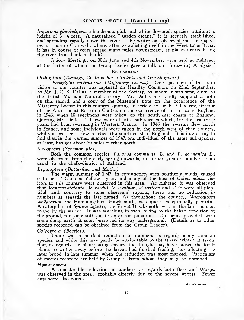*Impatiens glandulifera,* a handsome, pink and white flowered, species attaining a height of 3—4 feet. A naturalised " garden-escape," it is securely established, and spreading rapidly down the river. The writer has observed the same species at Looe in Cornwall, where, after establishing itself in the West Looe River, it has, in course of years, spread many miles downstream, at places nearly filling the river from bank to bank).

*Indoor Meetings,* on 30th June and 4th November, were held at Ashtead. at the latter of which the Group leader gave a talk on " Tree-ring Analysis."

#### ENTOMOLOGY

#### *Orthoptera (Earwigs, Cockroaches, Crickets and Grasshoppers).*

*Pachytylus migratorius (Migratory Locust).* One specimen of this rare visitor to our country was captured on Headley Common, on 22nd September, by Mr. J. E. S. Dallas, a member of the Society, by whom it was sent, alive, to the British Museum, Natural History. Mr. Dallas has kindly supplied a note on this record, and a copy of the Museum's note on the occurrence of the Migratory Locust in this country, quoting an article by Dr. B. P. Uvarov, director of the Anti-Locust Research Centre, on the occurrence of this insect in England in 1946, when 10 specimens were taken on the south-east coasts of England. Quoting Mr. Dallas—" These were all of a sub-species which, for the last three years, had been swarming in Western France. In 1946 the swarms flew north in France, and some individuals were taken in the north-west of that country, while, as we see, a few reached the south coast of England. It is interesting to find that, in the warmer summer of 1947, one individual of the same sub-species, at least, has got about 30 miles further north ! "

#### *Mecoptera (Scorpion-flies).*

Both the common species, *Panorpa communis, L.* and *P. germanica L.,* were observed, from the early spring onwards, in rather greater numbers than usual, in the chalk-district of Ashtead.

#### *Lepidoptera (Butterflies and Moths).*

The warm summer of 1947, in conjunction with southerly winds, caused it to be a "Clouded Yellow" year, and many of the host of Colias edusa vis-" Clouded Yellow " year, and many of the host of *Colias edusa* visitors to this country were observed in this area. At Ashtead it was observed that *Vanessa atalanta, V. cardui, V. c-album, V. urticae* and *V . io* were all plentiful, and, contrary to some observers' reports, there was no reduction in numbers as regards the last named. As throughout the country, *Macroglossa stellatarum,* the Humming-bird Hawk-moth, was quite exceptionally plentiful. A caterpillar of *Sphinx ligastri,* the Privet Hawk-moth, was, in the late summer, found by the writer. It was searching in vain, owing to the baked condition of the ground, for some soft soil to enter for pupation. On being provided with some damp earth, it soon burrowed its way underground. (Details as to other species recorded can be obtained from the Group Leader).

#### *Coleoptera (Beetles).*

There was a marked reduction in numbers as regards many common species, and while this may partly be attributable to the severe winter, it seems that, as regards the plant-eating species, the drought may have caused the foodplants to wither away before the larvae had finished feeding, thus affecting the later brood, in late summer, when the reduction was most marked. Particulars of species recorded are held by Group E, from whom they may be obtained.

#### *Hymenoptera.*

A considerable reduction in numbers, as regards both Bees and Wasps, was observed in the area; probably directly due to the severe winter. Fewer ants were also noted.

A. W. G. L.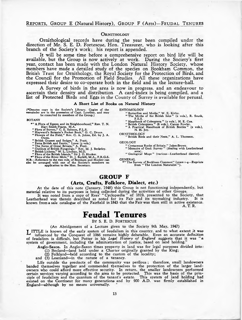#### REPORTS, GROUP E (Natural History), GROUP F (Arts)—FEUDAL TENURES

#### ORNITHOLOGY

Ornithological records have during the year been compiled under the direction of Mr. S. E. D. Fortescue, Hon. Treasurer, who is looking after this branch of the Society's work; his report is appended.

It will be some time before a comprehensive report on bird life will be available, but the Group is now actively at work. During the Society's first year, contact has been made with the London Natural History Society, whose members have made a detailed study of the species on Bookham Common, the British Trust for Ornithology, the Royal Society for the Protection of Birds, and the Council for the Promotion of Field Studies. All these organizations have expressed their desire to co-operate both in the field and in the lecture-hall.

A Survey of birds in the area is now in progress, and an endeavour to ascertain their density and distribution A card-index is being compiled, and a list of Protected Birds and Eggs in the County of Surrey is available for perusal.

#### **A Short List of Books on Natural History**

(♦Denotes copy in the Society's Library. Copies of the remainder are in the possession of Capt. Lowther, and may be consulted by members of the Group.)

#### BOTANY

- " A Flora of Epsom and its Neighbourhood," Rev. T. N.<br>" Hart Smith-Pearse, M.A.<br>" Flora of Surrey," C. E. Salmon, F.L.S.<br>" Hayward's Botanist's Pocket Book," G. C. Druce.<br>" Flowers of the Field," Rev. C. A. Johns, Ed. by J
- 
- Owen.
- 
- 
- 
- 
- 
- 
- 

" British Grasses and Sedges," A. Pratt.<br>" Ferns British and Exotic," Lowe (g vols.)<br>" The Ferns of Great Britain," A. Pratt.<br>" Outline of British Fungology," Rev. M. J. Berkeley.<br>" British Lichens," W. L. Lindsay, M.D.<br>"

**ENTOMOLOGY** 

- - " Butterflies and Moths," W. E. Kirby. " The Moths of the British Isles" (2 vols.), R. South, F.E.S.
	-
	- " Handbook of Coleoptera " (2 vols.), H. E. Cox. " British Coleoptera " (6 vols.), Canon Fowler. " A Practical Handbook of British Beetles " (2 vols.),
	- N. H. Joy.
- ORNITHOLOGY<br>"British Birds and their Nests," A. L. Thomson.

GEOLOGY

- 
- " Cretaceous Rocks of Britain." Jukes-Brown. " Memoirs of Geol. Survey " (dealing with Leatherhead area).
- " Geological Maps " (various— Leatherhead district).

GENERAL \*" The Survey of Bookham Common" (years 1-4.— Reprints from " The London Naturalist " ).

#### GROUP F

#### **(Arts, Crafts, Folklore, Dialect, etc.)**

At the date of this note (January, 1948) this Group is not functioning independently, but

material relative to its purposes is being collected during the activities of other Groups.<br>It was noted from a copy of Rees' "Cyclopædia" of 1819, presented to the Society, that<br>Leatherhead was therein described as noted known from a sale catalogue of the Fairfield in 1843 that the Fair was then still in active existence.

A. T. R.

## Feudal Tenures

BY S. E. D. FORTESCUE

(An Abridgement of a Lecture given to the Society 9th May, 1947)

**T** ITTLE is known of the early system of feudalism in this country, and to what extent it was influenced by the Conquest of 1066 remains highly debatable. Even an accurate definition<br>of feudalism is difficult, but Potter in his *Legal History* of *England* suggests that it was "a<br>system of government, including the

Anglo-Saxon. In Anglo-Saxon times property in land was for legal purposes divided into:

(1) Bocland—land held under a Charter originally granted by the King;

(2) Folkland—held according to the custom of the locality;

and (3) Loanland—in the nature of a tenancy.

Life outside the precincts of the community was perilous ; therefore, small landowners banded themselves together and commended themselves to the protection of the larger land-owners who could afford more effective security. In return, the smaller landowners performed certain services varying according to the area to be protected. This was the basis of the principle of feudalism and the quantum of the tenant's estate. This system of land holding had existed on the Continent for many generations and by 900 A.D. was firmly established in England—although by no means universally.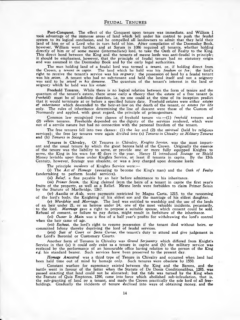Post-Conquest. The effect of the Conquest upon tenure was immediate, and William I took advantage of the immense areas of land which fell under his control to push the feudal system to its logical conclusion, and he compelled all landowners to admit that they held their land of him or of a Lord who in turn held of him. After compilation of the Doomsday Book, however, William went further, and at Sarum in 1086 required all tenants, whether holding<br>directly of him or of some mesne (intermediate) lord, to take the Oath of Fealty to the King. This direct bond between the King and the tenants of mesne lords was anti-feudal in principle; it should be emphasised, however, that the principle of feudal tenure had no statutory origin and was assumed in the Doomsday Book and by the early legal authorities.

The man holding land of a feudal lord was termed a *tenant,* or, if holding direct from the Crown, a *tenant in capite.* The land which he held was his *feudum* or *fee;* the lord's right to receive the tenant's service was his *seignory;* the possession of land by a feudal tenant<br>was his *seism.* A tenant who had no sub-tenant and held the land itself and not a seignory was said to be *seised* in *his demesne.* The quantum of the tenant's interest in the land or seignory which he held was his *estate.*

Freehold Tenures. While there is no logical relation between the form of tenure and the quantum of the tenant's estate, there arose early a theory that the estate of a free tenant (a *freehold*) must be of indefinite duration, i.e. no one could at the time of its inception predict that it would terminate at or before a specified future date. Freehold estates were either *estates of inheritance* which descended to the heir-at-law on the death of the tenant, or *estates for life* only. The rules of inheritance determining the line of descent were those of the Custom of<br>Normandy and applied, with great regard, the principle of primogeniture.

Common law recognized two classes of freehold tenure viz:— (1) *freehold* tenures and (2) *villein* tenures. Freeholds depended on the dignity of the services rendered, which were not of a servile nature but had no connection with the personal freedom of the tenant.

The free tenures fell into two classes: (1) the *lay* and (2) the *spiritual* (held by religious services); the free lay tenures were again divided into (a) *Tenures in Chivalry or Military Tenures* and (b) *Tenures in Socage.*

Tenures in Chivalry. Of Tenures in Chivalry, *Knights Service*, was the most import-<br>ant and the usual tenure by which the great barons held of the Crown. Originally the essence of the tenure was the liability to serve, or provide one or more fully equipped Knights to serve, the King in his wars for 40 days in the year. Henry II introduced *Scutage* or Shield Money leviable upon those under Knights Service, at least if tenants in capite. By the 15th Century, however, Scutage was obsolete, or was a levy charged upon demesne lords!

The principle *incidents* of Knights Service were:—

(i) The *Act of Homage* (swearing to become the King's man) and the *Oath of Fealty* (undertaking to perform feudal services).

(ii) *Relief*, a fine payable by an heir before admittance to his inheritance.

*(Hi) Primer Seisin,* the King claimed from the heirs of a tenant in capite the first year's fruits of the property, as well as a Relief. Mesne lords were forbidden to claim Primer Seisin by the Statute of Marlbridge, 1267.

(iv) *Auxilia* or *Aids,* were payments restricted by Magna Carta, 1215, to the ransoming of the lord's body, the Knighting of his eldest son and the marriage of his eldest daughter.

*(v) Wardship* and *Marriage.* The lord was entitled to wardship and the use of the lands of an heir under 21, or an heiress under 14; one of the most valuable incidents, pecuniarily, to the lord. *Marriage* gave a right to propose a suitable spouse, which consent could be sold. Refusal of consent, or failure to pay duties, might result in forfeiture of the inheritance.

*(vi) Ouster le Main* was a fine of a half year's profits for withdrawing the lord's control when the heir came of age.

*(vii) Escheat,* the lord's right to resume possession if the tenant died without heirs, or committed felony thereby depriving the lord of feudal services.

*(viii) Suit of Court* or *Secta Curiae,* the tenant's duty to attend and give judgement in the Lord's Baronial or Customary Courts.

Another form of Tenures in Chivalry was *Grand Serjeantry* which differed from Knight's Service in that (a) it could only exist as a tenure in capite and (b) the military service was replaced by the performance of an honourable office having relation to the person of the King *e.g.* his standard bearer. Such services have been preserved to the present day.

*Homage Ancestral* was a third type of Tenure in Chivalry and occurred when land had been held time out of mind by homage only. Such tenures were obsolete by 1550.

Constant warfare for supremacy existed between the King and the Barons, and the battle went in favour of the latter when the Statute of De Donis Conditionalibus, 1285, was passed enacting that land could not be alienated; but the tide was turned by the King when the Statute of Quia Emptores, 1290, came into force which abolished sub-infeudation, that is,<br>the sub-granting of land by a tenant, and made the Crown practically the sole lord of all free-<br>holdings. Gradually the incident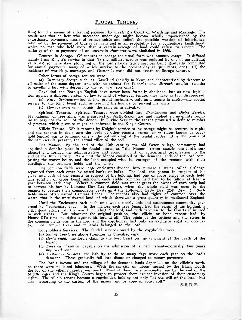King found a means of enforcing payment by creatin**g** a Court of Wardship and Marriage. The result was that an heir who succeeded under age might become wholly impoverished by the extortionate payments, firstly of primer seisin and relief, the possible wasting of inheritance, followed by the payment of Ouster le main and in all probability for a compulsory knighthood, which no man who held more than a certain acreage of land could refuse to accept. majority of these payments of an uncertain character- were abolished in 1660.

Tenures in Socage. Of tenures in socage the usual form was *common socage*. It differed mainly from Knight's service in that (i) the military service was replaced by one of agricultural value, e.g. so many days ploughing in the lord's fields (such services being gradually commuted for annual payments, many of which survive to the present day as quit rents, etc.); (ii) the incidents of wardship, marriage, and Ouster le main did not attach to Socage tenures.

Other forms of socage tenures were:—

*(a) Customary Socage* such as *Gavelkind* (chiefly in Kent, and characterised by descent to *all* males of the same degree; and with no escheat for felony); and *Borough English* (similar to gavelkind but with descent to the *youngest* son only).

Gavelkind and Borough English have never been formally abolished, but as new legislation applies a different system of law to land of whatever tenure, they have in fact disappeared.

(*b*) *Petty Serjeantry*—found, like grand serjeantry, only as a tenure in capite—the special service to the King being such as keeping his hounds or serving his writs.

(c) *Homage ancestral in socage,* the same as in chivalry.

Spiritual Tenures. Spiritual Tenures were divided into *Frankalmoin* and *Divine Service.* Frankalmoin, or free alms, was a survival of Anglo-Saxon law and implied an indefinite promise to pray for the soul of the donor. In Divine Service the tenant promised a definite number of prayers, which promise might be enforced in the King's Courts.

Villein Tenure. While tenures by Knight's service or by socage might be tenures in capite and the tenants in their turn the lords of other tenants, *villein tenure* (later known as copyhold tenure) was to be found only at the bottom rung of the feudal ladder. It is the tenure of the semi-servile peasant, the actual tiller of the soil.

The Manor. By the end of the 12th century the old Saxon village community had acquired a definite place in the feudal system as "the Manor" (from *mansio*, the lord's residence) and formed the administrative and economic unit of agricultural organization to the end of the 18th century. As a unit the Manor consisted of the demesne lands of the lord comprising the manor house, and the land occupied with it, cottages of the tenants with their curtilages, the common fields and the waste.

The common fields were large enclosures divided into numerous strips called furlongs, separated from each other by raised banks or balks. The lord, the parson in respect of his glebe, and each of the tenants in respect of his holding, had one or more strips in each field. The rotation of crops being unknown, each arable common field had to lie fallow at least a year between each crop. Where a common field was under grass the owner of each strip had to harvest his hay by Lammas Day (1st August), when the whole field was open to the tenants to pasture their commonable beasts until the following Lady Day (25th March). Such fields were often named Lammas Lands. The tenants also had rights of common over the waste, that is the uncultivated land, of which there was a great quantity in mediaeval England.

Until the Enclosures each such unit was a closely knit and autonomous community governed by " customary code." In the manors each free tenant had the seisin of his holding, a right good against all the world including the lord, and with recourse to the Courts if injured in such rights. But, whatever the original position, the villein or bond tenant had, by Henry I ll's time, no rights against his lord at all. The seisin of the cottage and the strips in the common fields was in the lord and the copyholder had only an exclusive right of occupation. All timber trees and minerals belonged to the lord.

Copyholder's Services. The feudal services owed by the copyholder were

- *(a) Suit of Court, see* above (Tenures in Chivalry, viii).
- *(b) Heriot right,* the lord's claim to the best beast on the tenement at the death of the tenant.
- (c) *Fines on alienation* payable on the admission of a new tenant—normally two years improved rent.
- (*d) Customary Services,* the liability to do so many days work each year on the lord's demesne. These gradually fell into disuse or changed to money payments.

The lord's income and the tillage of the demesne lands depended on the villein's work, as there were no hired labourers. W ith the scarcity of labour caused by the Black Death the lot of the villeins rapidly improved. M ost of them were personally free by the end of the Middle Ages and the King's Courts began to protect them against invasion of their customary rights. The villein tenant became a copyholder, holding not only " at the will of the lord '' but also " according to the custom of the manor and by copy of court roll."

S. E. D. F.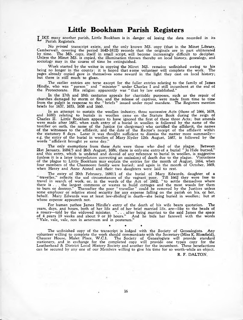## **Little Bookham Parish Registers**

**T** IKE many another parish, Little Bookham is in danger of losing the data recorded in its Parish Registers.

No *printed* transcript exists, and the only known MS. copy (that in the Minet Library, Camberwell, covering the period 1642-1812) records that the originals are in part obliterated by time. The MS. copy, itself in small script, will become increasingly difficult to decipher. Unless the Minet MS. is copied, the illumination thrown thereby on local history, genealogy, and sociology may in the course of time be extinguished.

W ork started by the writer in copying the Minet MS. remains unfinished owing to his being no longer in the county: it is hoped that s ome volunteer will complete the work. The pages already copied gave in themselves some reward in the light they cast on local history; but there is still much to glean.

The earlier entries are terse except for the fuller entries relating to the family of James Hindle, who was " parson" and " minister " under Charles I and still incumbent at the end of the Protectorate. His religion apparently was " that by law established."

In the 17th and 18th centuries appeals for charitable purposes, such as the repair of churches damaged by storm or fire, and the release of captives, were made from time to time from the pulpit in response to the " briefs " issued under royal mandate. The Registers mention briefs for 1637, 1653, 1658 and 1660.

In an attempt to sustain the woollen industry, three successive Acts (those of 1666, 1678, and 1680) relating to burials in woollen came on the Statute Book during the reign of Charles II. Little Bookham appears to have ignored the first of these three Acts; but amends were made after 1687, when each entry of a burial in woollen is followed by the name of the testifier on oath, the name of the Justice (or clergyman) who certified the affidavit, the names of the witnesses to the affidavit, and the date of the Rector's receipt of the affidavit within the statutory 8 days. Later it was thought sufficient to dismiss the matter more summarily e.g. the entry of the burial in woollen of Mary Slyder 12th August, 1687, is followed by the words " affidavit brought ye same day."

The only exemptions from these Acts were those who died of the plague. Between 21st January, 1684/5 and 26th August, 1686, there is only one entry of a burial "Jo Hide buryed," and this entry, which is undated and devoid of any reference to burial in woollen, is suggestive (unless it is a later interpolation correcting an omission) of death due to the plague. Visitations of the plague tc Little Bookham may explain the entries for the month of August, 1664, when four members of the Chasmoore family were buried; and again in the month of October, 1669, when Henry and Anne Aisted and their two daughters were laid to rest.

The entry of 20th February, 1680/1 of the burial of Mary Edwards, daughter of a<br>"traveller," reflects the sad circumstances of the vagrant poor. Till 1662 they were free to<br>travel in search of work, or, in the words of the there is . . . the largest commons or wastes to build cottages and the most woods for them to bum or destroy." Thereafter the poor " traveller " could be removed by the Justices unless some employer or relative stood security for any expense falling on the parish on his, or her, behalf. Mary Edwards was at least law-abiding in death—she being buried in woollen; but at whose expense appeareth not.

For human pathos James Hindle's entry of the death of his wife bears quotation. The years, days, and hours, both of her life and of her brief married life, are—like to the beads of a rosary—told by the widowed minister. " . . . after being married to the said James the space of 4 years 19 weeks and about 9 or 10 hours." And he bids her farewell with the words " Vale, vale, vale, non in aeternum sed in posterum."

#### *\* \* \**

The unfinished copy of the transcript is lodged with the Society of Genealogists. Any volunteer willing to complete the work should communicate with the Secretary (Miss K. Blomfield), Chaucer House, Malet Place, W.C.1. The Society of Genealogists will provide standard stationery, and in exchange for the completed copy will provide one typed copy for the Leatherhead & District Local History Society and another for the incumbent. These benefactions can be secured by any one of our Members willing to give his time for so worth-while an object.

R. F. DALTON.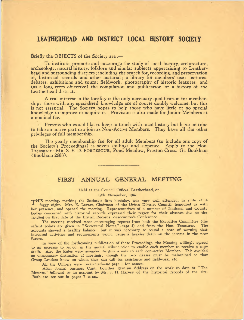## LEATHERHEAD AND DISTRICT LOCAL HISTORY SOCIETY

#### Briefly the OBJECTS of the Society are :—

To institute, promote and encourage the study of local history, architecture, archaeology, natural history, folklore and similar subjects appertaining to Leatherhead and surrounding districts; including the search for, recording, and preservation of, historical records and other material; a library for members' use; lectures, debates, exhibitions and tours; fieldwork; photography of historic features; and (as a long term objective) the compilation and publication of a history of the Leatherhead district.

A real interest in the locality is the only necessary qualification for membership ; those with any specialised knowledge are of course doubly welcome, but this is not essential. The Society hopes to help those who have little or no special knowledge to improve or acquire it. Provision is also made for Junior Members at a nominal fee.

Persons who would like to keep in touch with local history but have no time to take an active part can join as Non-Active Members. They have all the other privileges of full membership.

The yearly membership fee for all adult Members (to include one copy of the Society's Proceedings) is seven shillings and sixpence. Apply to the Hon. Treasurer: Mr. S. E. D. FORTESCUE, Pond Meadow, Preston Cross, Gt. Bookham (Bookham 2683).

## **FIRST ANNUAL GENERAL MEETING**

#### Held at the Council Offices, Leatherhead, on 19th November, 1947.

THIS meeting, marking the Society's first birthday, was very well attended, in spite of a foggy night. Mrs. E. Levett, Chairman of the Urban District Council, honoured us with her presence, and opened the meeting. Representatives of a number of National and County bodies concerned with historical records expressed their regret for their absence due to the holding on that date of the British Records Association's Conference.

The meeting received most encouraging reports from both the Executive Committee (the salient points are given in " Secretarial Notes," *page 3)* and from the Hon. Treasurer. The accounts showed a healthy balance; but it was necessary to sound a note of warning that increased activities and requirements would cause a heavier drain on the income in the near future.

In view of the forthcoming publication of these Proceedings, the Meeting willingly agreed to an increase to 7s. 6d. in the annual subscription to enable each member to receive a copy *gratis.* Also the Rules were amended to give a vote to each non-active Member. This avoided an unnecessary distinction at meetings; though the two classes must be maintained so that Group Leaders know on whom they can call for assistance and fieldwork, etc.

All the Officers were re-elected*—see* page 1 for names.

After formal business Capt. Lowther gave an Address on the work to date at " The Mounts," followed by an account by Mr. J. H. Harvey of the historical records of the site. Both are set out in pages 7 *et* s*eq.*